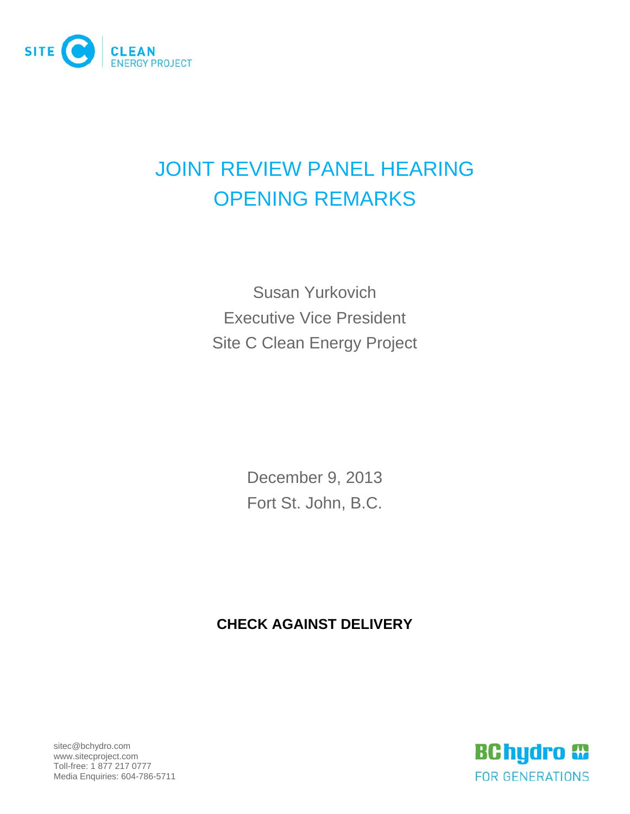

## JOINT REVIEW PANEL HEARING OPENING REMARKS

Susan Yurkovich Executive Vice President Site C Clean Energy Project

> December 9, 2013 Fort St. John, B.C.

## **CHECK AGAINST DELIVERY**

sitec@bchydro.com www.sitecproject.com Toll-free: 1 877 217 0777 Media Enquiries: 604-786-5711

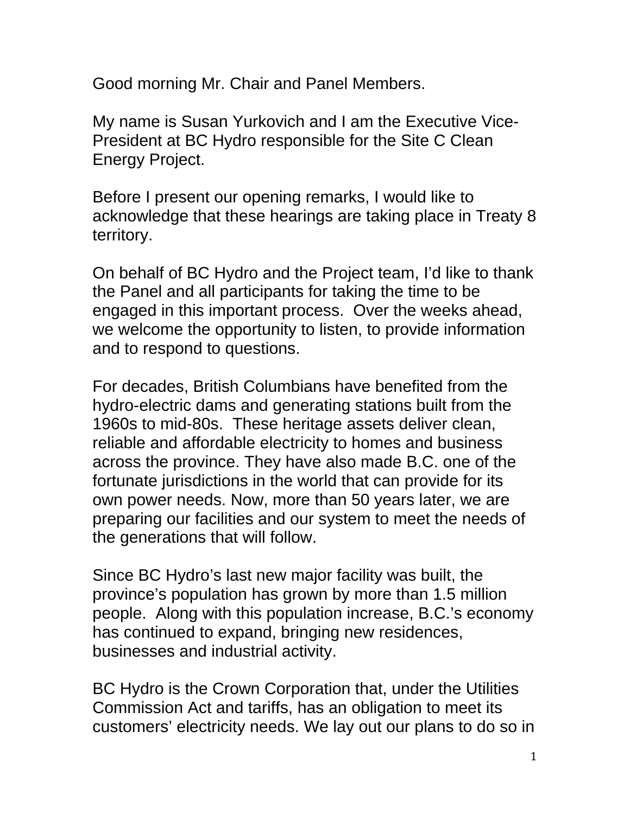Good morning Mr. Chair and Panel Members.

My name is Susan Yurkovich and I am the Executive Vice-President at BC Hydro responsible for the Site C Clean Energy Project.

Before I present our opening remarks, I would like to acknowledge that these hearings are taking place in Treaty 8 territory.

On behalf of BC Hydro and the Project team, I'd like to thank the Panel and all participants for taking the time to be engaged in this important process. Over the weeks ahead, we welcome the opportunity to listen, to provide information and to respond to questions.

For decades, British Columbians have benefited from the hydro-electric dams and generating stations built from the 1960s to mid-80s. These heritage assets deliver clean, reliable and affordable electricity to homes and business across the province. They have also made B.C. one of the fortunate jurisdictions in the world that can provide for its own power needs. Now, more than 50 years later, we are preparing our facilities and our system to meet the needs of the generations that will follow.

Since BC Hydro's last new major facility was built, the province's population has grown by more than 1.5 million people. Along with this population increase, B.C.'s economy has continued to expand, bringing new residences, businesses and industrial activity.

BC Hydro is the Crown Corporation that, under the Utilities Commission Act and tariffs, has an obligation to meet its customers' electricity needs. We lay out our plans to do so in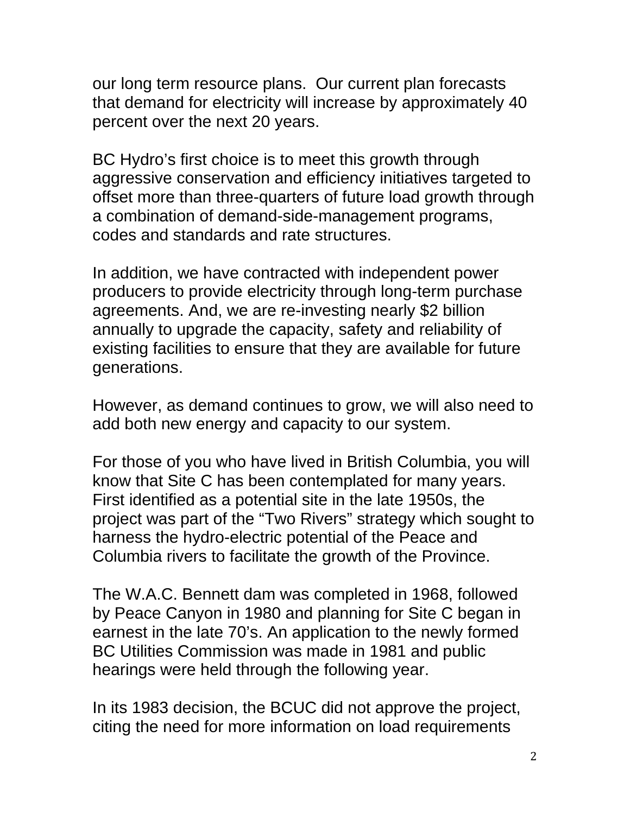our long term resource plans. Our current plan forecasts that demand for electricity will increase by approximately 40 percent over the next 20 years.

BC Hydro's first choice is to meet this growth through aggressive conservation and efficiency initiatives targeted to offset more than three-quarters of future load growth through a combination of demand-side-management programs, codes and standards and rate structures.

In addition, we have contracted with independent power producers to provide electricity through long-term purchase agreements. And, we are re-investing nearly \$2 billion annually to upgrade the capacity, safety and reliability of existing facilities to ensure that they are available for future generations.

However, as demand continues to grow, we will also need to add both new energy and capacity to our system.

For those of you who have lived in British Columbia, you will know that Site C has been contemplated for many years. First identified as a potential site in the late 1950s, the project was part of the "Two Rivers" strategy which sought to harness the hydro-electric potential of the Peace and Columbia rivers to facilitate the growth of the Province.

The W.A.C. Bennett dam was completed in 1968, followed by Peace Canyon in 1980 and planning for Site C began in earnest in the late 70's. An application to the newly formed BC Utilities Commission was made in 1981 and public hearings were held through the following year.

In its 1983 decision, the BCUC did not approve the project, citing the need for more information on load requirements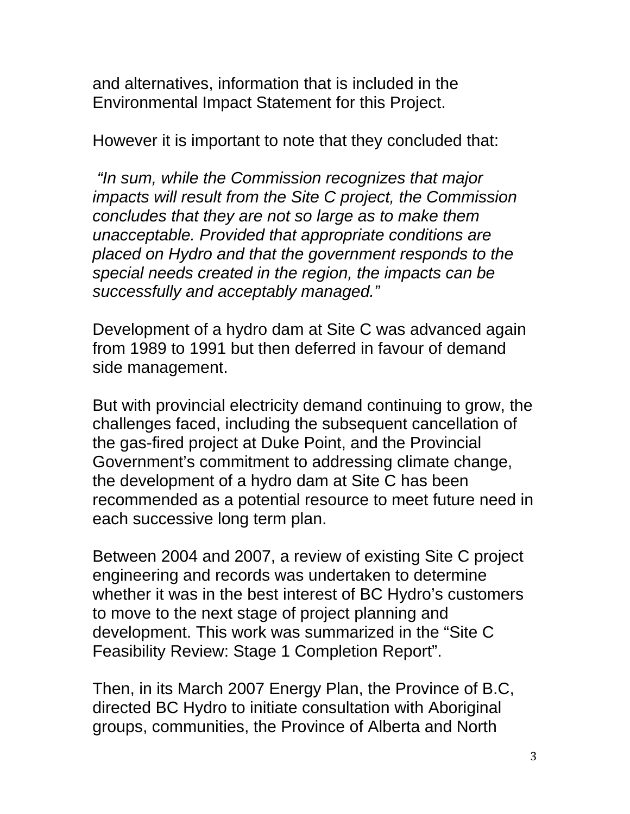and alternatives, information that is included in the Environmental Impact Statement for this Project.

However it is important to note that they concluded that:

 *"In sum, while the Commission recognizes that major impacts will result from the Site C project, the Commission concludes that they are not so large as to make them unacceptable. Provided that appropriate conditions are placed on Hydro and that the government responds to the special needs created in the region, the impacts can be successfully and acceptably managed."* 

Development of a hydro dam at Site C was advanced again from 1989 to 1991 but then deferred in favour of demand side management.

But with provincial electricity demand continuing to grow, the challenges faced, including the subsequent cancellation of the gas-fired project at Duke Point, and the Provincial Government's commitment to addressing climate change, the development of a hydro dam at Site C has been recommended as a potential resource to meet future need in each successive long term plan.

Between 2004 and 2007, a review of existing Site C project engineering and records was undertaken to determine whether it was in the best interest of BC Hydro's customers to move to the next stage of project planning and development. This work was summarized in the "Site C Feasibility Review: Stage 1 Completion Report".

Then, in its March 2007 Energy Plan, the Province of B.C, directed BC Hydro to initiate consultation with Aboriginal groups, communities, the Province of Alberta and North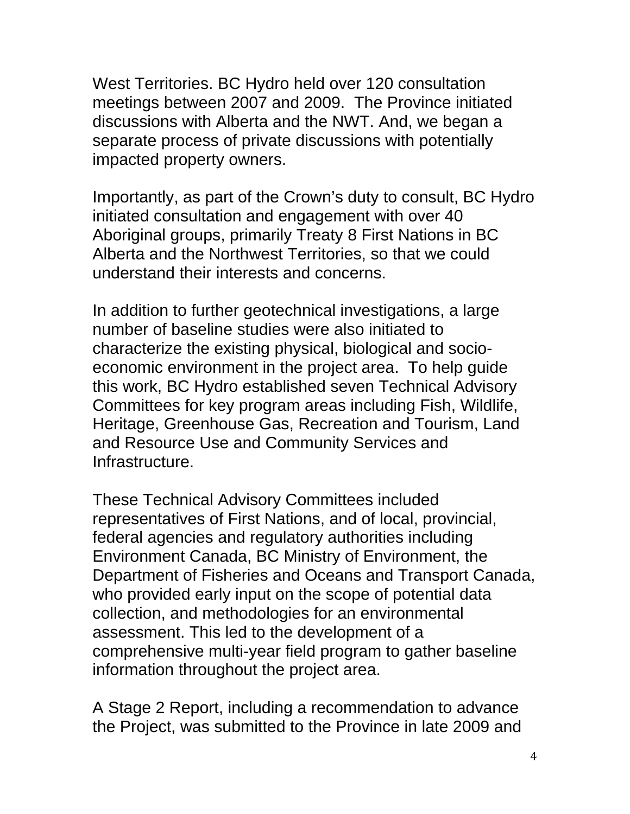West Territories. BC Hydro held over 120 consultation meetings between 2007 and 2009. The Province initiated discussions with Alberta and the NWT. And, we began a separate process of private discussions with potentially impacted property owners.

Importantly, as part of the Crown's duty to consult, BC Hydro initiated consultation and engagement with over 40 Aboriginal groups, primarily Treaty 8 First Nations in BC Alberta and the Northwest Territories, so that we could understand their interests and concerns.

In addition to further geotechnical investigations, a large number of baseline studies were also initiated to characterize the existing physical, biological and socioeconomic environment in the project area. To help guide this work, BC Hydro established seven Technical Advisory Committees for key program areas including Fish, Wildlife, Heritage, Greenhouse Gas, Recreation and Tourism, Land and Resource Use and Community Services and Infrastructure.

These Technical Advisory Committees included representatives of First Nations, and of local, provincial, federal agencies and regulatory authorities including Environment Canada, BC Ministry of Environment, the Department of Fisheries and Oceans and Transport Canada, who provided early input on the scope of potential data collection, and methodologies for an environmental assessment. This led to the development of a comprehensive multi-year field program to gather baseline information throughout the project area.

A Stage 2 Report, including a recommendation to advance the Project, was submitted to the Province in late 2009 and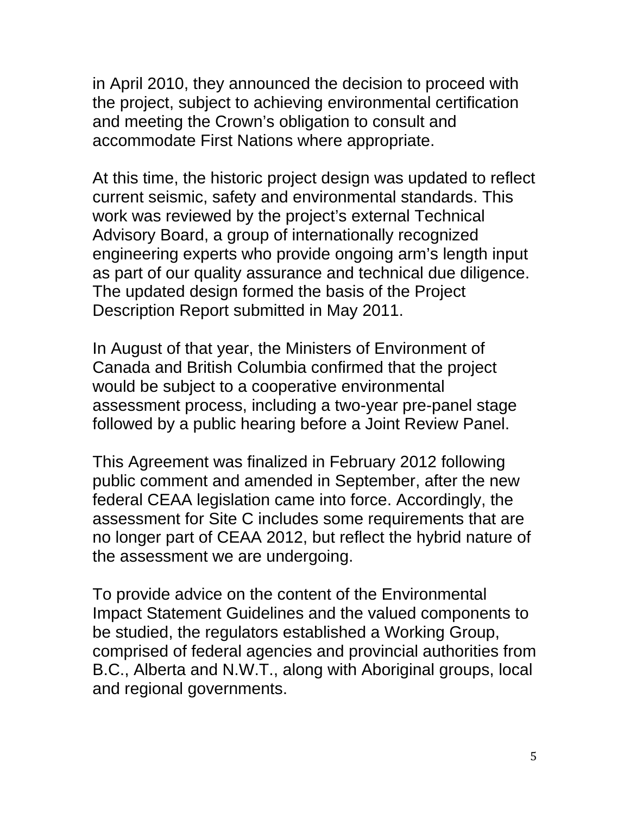in April 2010, they announced the decision to proceed with the project, subject to achieving environmental certification and meeting the Crown's obligation to consult and accommodate First Nations where appropriate.

At this time, the historic project design was updated to reflect current seismic, safety and environmental standards. This work was reviewed by the project's external Technical Advisory Board, a group of internationally recognized engineering experts who provide ongoing arm's length input as part of our quality assurance and technical due diligence. The updated design formed the basis of the Project Description Report submitted in May 2011.

In August of that year, the Ministers of Environment of Canada and British Columbia confirmed that the project would be subject to a cooperative environmental assessment process, including a two-year pre-panel stage followed by a public hearing before a Joint Review Panel.

This Agreement was finalized in February 2012 following public comment and amended in September, after the new federal CEAA legislation came into force. Accordingly, the assessment for Site C includes some requirements that are no longer part of CEAA 2012, but reflect the hybrid nature of the assessment we are undergoing.

To provide advice on the content of the Environmental Impact Statement Guidelines and the valued components to be studied, the regulators established a Working Group, comprised of federal agencies and provincial authorities from B.C., Alberta and N.W.T., along with Aboriginal groups, local and regional governments.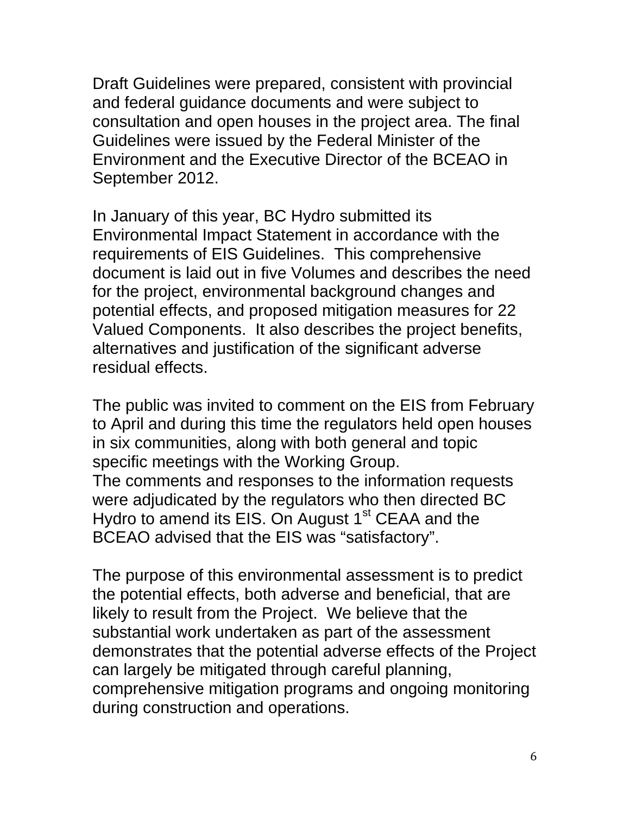Draft Guidelines were prepared, consistent with provincial and federal guidance documents and were subject to consultation and open houses in the project area. The final Guidelines were issued by the Federal Minister of the Environment and the Executive Director of the BCEAO in September 2012.

In January of this year, BC Hydro submitted its Environmental Impact Statement in accordance with the requirements of EIS Guidelines. This comprehensive document is laid out in five Volumes and describes the need for the project, environmental background changes and potential effects, and proposed mitigation measures for 22 Valued Components. It also describes the project benefits, alternatives and justification of the significant adverse residual effects.

The public was invited to comment on the EIS from February to April and during this time the regulators held open houses in six communities, along with both general and topic specific meetings with the Working Group. The comments and responses to the information requests were adjudicated by the regulators who then directed BC Hydro to amend its EIS. On August 1<sup>st</sup> CEAA and the BCEAO advised that the EIS was "satisfactory".

The purpose of this environmental assessment is to predict the potential effects, both adverse and beneficial, that are likely to result from the Project. We believe that the substantial work undertaken as part of the assessment demonstrates that the potential adverse effects of the Project can largely be mitigated through careful planning, comprehensive mitigation programs and ongoing monitoring during construction and operations.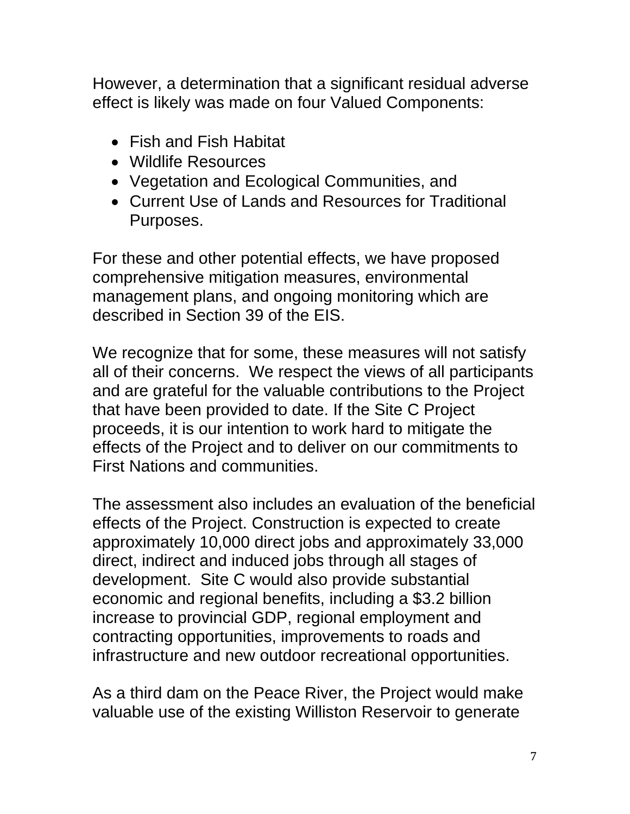However, a determination that a significant residual adverse effect is likely was made on four Valued Components:

- Fish and Fish Habitat
- Wildlife Resources
- Vegetation and Ecological Communities, and
- Current Use of Lands and Resources for Traditional Purposes.

For these and other potential effects, we have proposed comprehensive mitigation measures, environmental management plans, and ongoing monitoring which are described in Section 39 of the EIS.

We recognize that for some, these measures will not satisfy all of their concerns. We respect the views of all participants and are grateful for the valuable contributions to the Project that have been provided to date. If the Site C Project proceeds, it is our intention to work hard to mitigate the effects of the Project and to deliver on our commitments to First Nations and communities.

The assessment also includes an evaluation of the beneficial effects of the Project. Construction is expected to create approximately 10,000 direct jobs and approximately 33,000 direct, indirect and induced jobs through all stages of development. Site C would also provide substantial economic and regional benefits, including a \$3.2 billion increase to provincial GDP, regional employment and contracting opportunities, improvements to roads and infrastructure and new outdoor recreational opportunities.

As a third dam on the Peace River, the Project would make valuable use of the existing Williston Reservoir to generate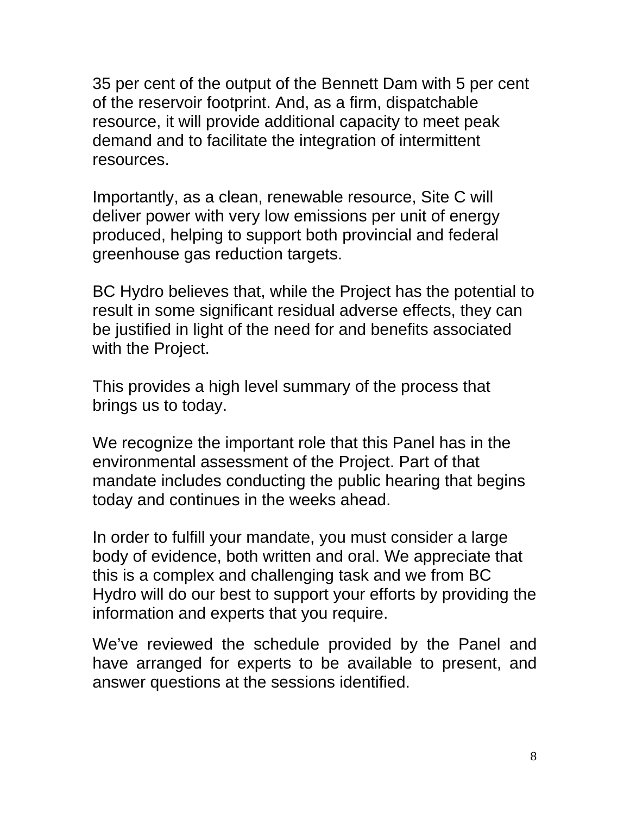35 per cent of the output of the Bennett Dam with 5 per cent of the reservoir footprint. And, as a firm, dispatchable resource, it will provide additional capacity to meet peak demand and to facilitate the integration of intermittent resources.

Importantly, as a clean, renewable resource, Site C will deliver power with very low emissions per unit of energy produced, helping to support both provincial and federal greenhouse gas reduction targets.

BC Hydro believes that, while the Project has the potential to result in some significant residual adverse effects, they can be justified in light of the need for and benefits associated with the Project.

This provides a high level summary of the process that brings us to today.

We recognize the important role that this Panel has in the environmental assessment of the Project. Part of that mandate includes conducting the public hearing that begins today and continues in the weeks ahead.

In order to fulfill your mandate, you must consider a large body of evidence, both written and oral. We appreciate that this is a complex and challenging task and we from BC Hydro will do our best to support your efforts by providing the information and experts that you require.

We've reviewed the schedule provided by the Panel and have arranged for experts to be available to present, and answer questions at the sessions identified.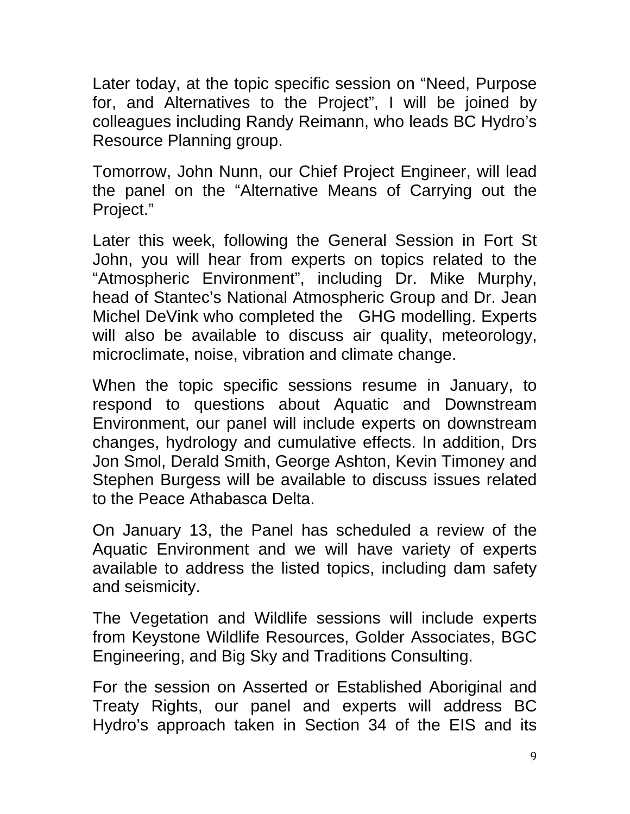Later today, at the topic specific session on "Need, Purpose for, and Alternatives to the Project", I will be joined by colleagues including Randy Reimann, who leads BC Hydro's Resource Planning group.

Tomorrow, John Nunn, our Chief Project Engineer, will lead the panel on the "Alternative Means of Carrying out the Project."

Later this week, following the General Session in Fort St John, you will hear from experts on topics related to the "Atmospheric Environment", including Dr. Mike Murphy, head of Stantec's National Atmospheric Group and Dr. Jean Michel DeVink who completed the GHG modelling. Experts will also be available to discuss air quality, meteorology, microclimate, noise, vibration and climate change.

When the topic specific sessions resume in January, to respond to questions about Aquatic and Downstream Environment, our panel will include experts on downstream changes, hydrology and cumulative effects. In addition, Drs Jon Smol, Derald Smith, George Ashton, Kevin Timoney and Stephen Burgess will be available to discuss issues related to the Peace Athabasca Delta.

On January 13, the Panel has scheduled a review of the Aquatic Environment and we will have variety of experts available to address the listed topics, including dam safety and seismicity.

The Vegetation and Wildlife sessions will include experts from Keystone Wildlife Resources, Golder Associates, BGC Engineering, and Big Sky and Traditions Consulting.

For the session on Asserted or Established Aboriginal and Treaty Rights, our panel and experts will address BC Hydro's approach taken in Section 34 of the EIS and its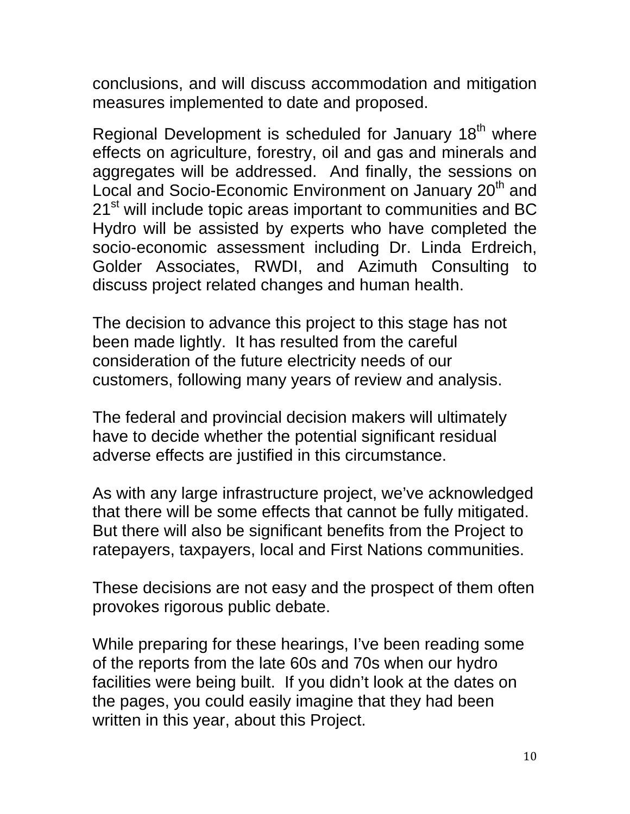conclusions, and will discuss accommodation and mitigation measures implemented to date and proposed.

Regional Development is scheduled for January 18<sup>th</sup> where effects on agriculture, forestry, oil and gas and minerals and aggregates will be addressed. And finally, the sessions on Local and Socio-Economic Environment on January 20<sup>th</sup> and 21<sup>st</sup> will include topic areas important to communities and BC Hydro will be assisted by experts who have completed the socio-economic assessment including Dr. Linda Erdreich, Golder Associates, RWDI, and Azimuth Consulting to discuss project related changes and human health.

The decision to advance this project to this stage has not been made lightly. It has resulted from the careful consideration of the future electricity needs of our customers, following many years of review and analysis.

The federal and provincial decision makers will ultimately have to decide whether the potential significant residual adverse effects are justified in this circumstance.

As with any large infrastructure project, we've acknowledged that there will be some effects that cannot be fully mitigated. But there will also be significant benefits from the Project to ratepayers, taxpayers, local and First Nations communities.

These decisions are not easy and the prospect of them often provokes rigorous public debate.

While preparing for these hearings, I've been reading some of the reports from the late 60s and 70s when our hydro facilities were being built. If you didn't look at the dates on the pages, you could easily imagine that they had been written in this year, about this Project.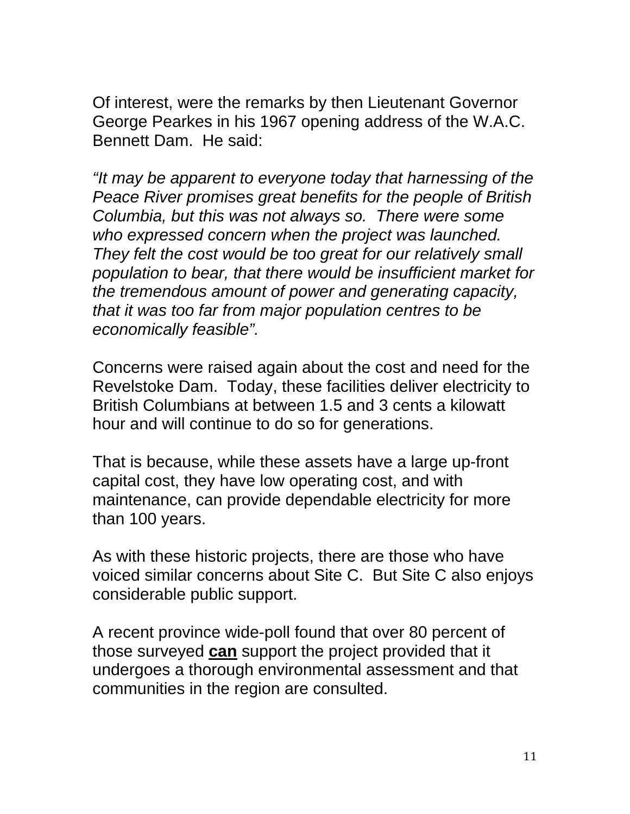Of interest, were the remarks by then Lieutenant Governor George Pearkes in his 1967 opening address of the W.A.C. Bennett Dam. He said:

*"It may be apparent to everyone today that harnessing of the Peace River promises great benefits for the people of British Columbia, but this was not always so. There were some who expressed concern when the project was launched. They felt the cost would be too great for our relatively small population to bear, that there would be insufficient market for the tremendous amount of power and generating capacity, that it was too far from major population centres to be economically feasible".* 

Concerns were raised again about the cost and need for the Revelstoke Dam. Today, these facilities deliver electricity to British Columbians at between 1.5 and 3 cents a kilowatt hour and will continue to do so for generations.

That is because, while these assets have a large up-front capital cost, they have low operating cost, and with maintenance, can provide dependable electricity for more than 100 years.

As with these historic projects, there are those who have voiced similar concerns about Site C. But Site C also enjoys considerable public support.

A recent province wide-poll found that over 80 percent of those surveyed **can** support the project provided that it undergoes a thorough environmental assessment and that communities in the region are consulted.